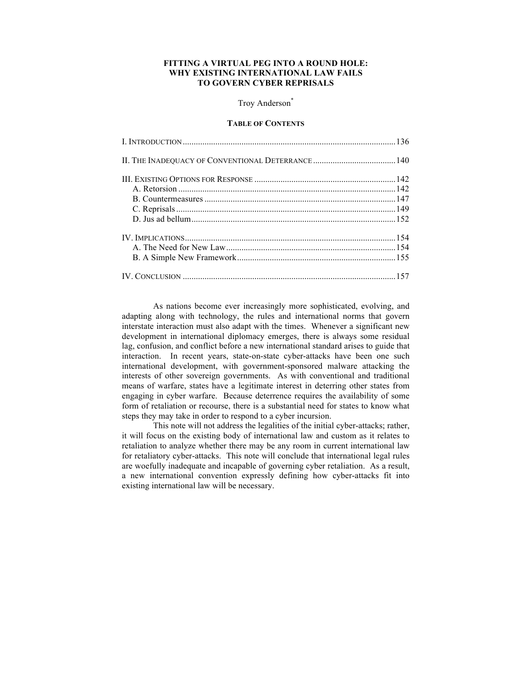# **FITTING A VIRTUAL PEG INTO A ROUND HOLE: WHY EXISTING INTERNATIONAL LAW FAILS TO GOVERN CYBER REPRISALS**

#### Troy Anderson<sup>\*</sup>

# **TABLE OF CONTENTS**

As nations become ever increasingly more sophisticated, evolving, and adapting along with technology, the rules and international norms that govern interstate interaction must also adapt with the times. Whenever a significant new development in international diplomacy emerges, there is always some residual lag, confusion, and conflict before a new international standard arises to guide that interaction. In recent years, state-on-state cyber-attacks have been one such international development, with government-sponsored malware attacking the interests of other sovereign governments. As with conventional and traditional means of warfare, states have a legitimate interest in deterring other states from engaging in cyber warfare. Because deterrence requires the availability of some form of retaliation or recourse, there is a substantial need for states to know what steps they may take in order to respond to a cyber incursion.

This note will not address the legalities of the initial cyber-attacks; rather, it will focus on the existing body of international law and custom as it relates to retaliation to analyze whether there may be any room in current international law for retaliatory cyber-attacks. This note will conclude that international legal rules are woefully inadequate and incapable of governing cyber retaliation. As a result, a new international convention expressly defining how cyber-attacks fit into existing international law will be necessary.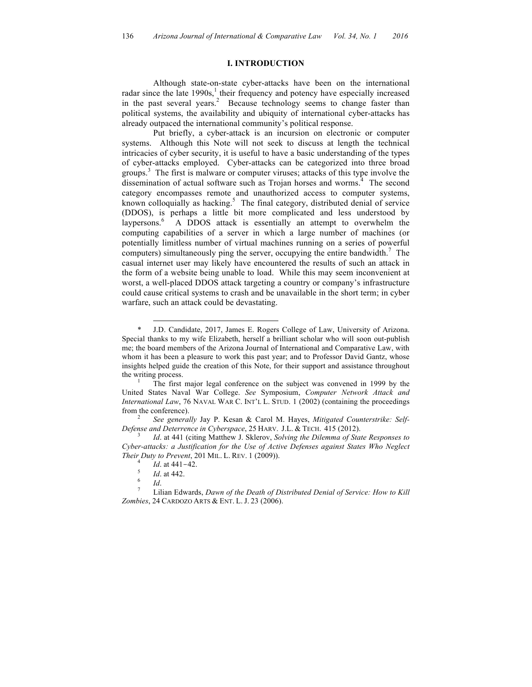# **I. INTRODUCTION**

Although state-on-state cyber-attacks have been on the international radar since the late 1990s, <sup>1</sup> their frequency and potency have especially increased in the past several years.<sup>2</sup> Because technology seems to change faster than political systems, the availability and ubiquity of international cyber-attacks has already outpaced the international community's political response.

Put briefly, a cyber-attack is an incursion on electronic or computer systems. Although this Note will not seek to discuss at length the technical intricacies of cyber security, it is useful to have a basic understanding of the types of cyber-attacks employed. Cyber-attacks can be categorized into three broad groups. $3$  The first is malware or computer viruses; attacks of this type involve the dissemination of actual software such as Trojan horses and worms.<sup>4</sup> The second category encompasses remote and unauthorized access to computer systems, known colloquially as hacking. <sup>5</sup> The final category, distributed denial of service (DDOS), is perhaps a little bit more complicated and less understood by laypersons.<sup>6</sup> A DDOS attack is essentially an attempt to overwhelm the computing capabilities of a server in which a large number of machines (or potentially limitless number of virtual machines running on a series of powerful computers) simultaneously ping the server, occupying the entire bandwidth.<sup>7</sup> The casual internet user may likely have encountered the results of such an attack in the form of a website being unable to load. While this may seem inconvenient at worst, a well-placed DDOS attack targeting a country or company's infrastructure could cause critical systems to crash and be unavailable in the short term; in cyber warfare, such an attack could be devastating.

 $\overline{a}$ 

<sup>\*</sup> J.D. Candidate, 2017, James E. Rogers College of Law, University of Arizona. Special thanks to my wife Elizabeth, herself a brilliant scholar who will soon out-publish me; the board members of the Arizona Journal of International and Comparative Law, with whom it has been a pleasure to work this past year; and to Professor David Gantz, whose insights helped guide the creation of this Note, for their support and assistance throughout the writing process.<br><sup>1</sup> The first major legal conference on the subject was convened in 1999 by the

United States Naval War College. *See* Symposium, *Computer Network Attack and International Law*, 76 NAVAL WAR C. INT'L L. STUD. 1 (2002) (containing the proceedings from the conference). <sup>2</sup> *See generally* Jay P. Kesan & Carol M. Hayes, *Mitigated Counterstrike: Self-*

*Defense and Deterrence in Cyberspace*, 25 HARV. J.L. & TECH. 415 (2012). <sup>3</sup> *Id*. at 441 (citing Matthew J. Sklerov, *Solving the Dilemma of State Responses to* 

*Cyber-attacks: a Justification for the Use of Active Defenses against States Who Neglect Their Duty to Prevent*, 201 MIL. L. REV. 1 (2009)).<br><sup>4</sup> *Id.* at 441-42.<br><sup>5</sup> *Id.* at 442

<sup>&</sup>lt;sup>5</sup> *Id.* at 442.<br><sup>6</sup> *Id.*<br><sup>7</sup> Lilian Edwards, *Dawn of the Death of Distributed Denial of Service: How to Kill Zombies*, 24 CARDOZO ARTS & ENT. L. J. 23 (2006).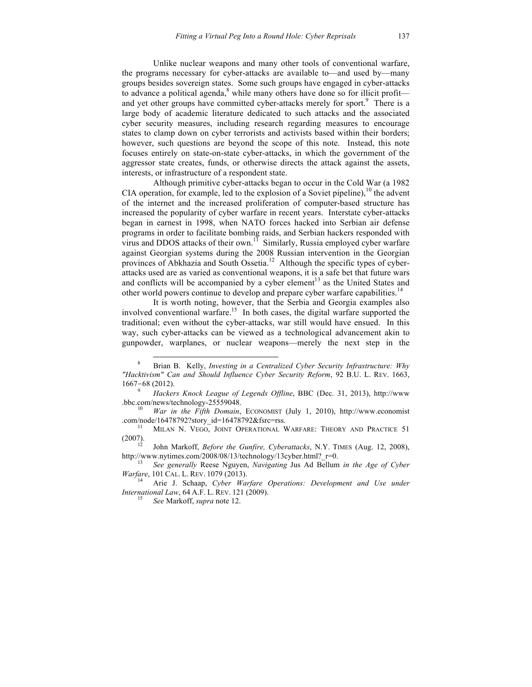Unlike nuclear weapons and many other tools of conventional warfare, the programs necessary for cyber-attacks are available to—and used by—many groups besides sovereign states. Some such groups have engaged in cyber-attacks to advance a political agenda,<sup>8</sup> while many others have done so for illicit profit and yet other groups have committed cyber-attacks merely for sport.<sup>9</sup> There is a large body of academic literature dedicated to such attacks and the associated cyber security measures, including research regarding measures to encourage states to clamp down on cyber terrorists and activists based within their borders; however, such questions are beyond the scope of this note. Instead, this note focuses entirely on state-on-state cyber-attacks, in which the government of the aggressor state creates, funds, or otherwise directs the attack against the assets, interests, or infrastructure of a respondent state.

Although primitive cyber-attacks began to occur in the Cold War (a 1982 CIA operation, for example, led to the explosion of a Soviet pipeline),  $10$  the advent of the internet and the increased proliferation of computer-based structure has increased the popularity of cyber warfare in recent years. Interstate cyber-attacks began in earnest in 1998, when NATO forces hacked into Serbian air defense programs in order to facilitate bombing raids, and Serbian hackers responded with virus and DDOS attacks of their own.<sup>11</sup> Similarly, Russia employed cyber warfare against Georgian systems during the 2008 Russian intervention in the Georgian provinces of Abkhazia and South Ossetia.<sup>12</sup> Although the specific types of cyberattacks used are as varied as conventional weapons, it is a safe bet that future wars and conflicts will be accompanied by a cyber element<sup>13</sup> as the United States and other world powers continue to develop and prepare cyber warfare capabilities.<sup>14</sup>

It is worth noting, however, that the Serbia and Georgia examples also involved conventional warfare. <sup>15</sup> In both cases, the digital warfare supported the traditional; even without the cyber-attacks, war still would have ensued. In this way, such cyber-attacks can be viewed as a technological advancement akin to gunpowder, warplanes, or nuclear weapons—merely the next step in the

http://www.nytimes.com/2008/08/13/technology/13cyber.html?\_r=0. <sup>13</sup> *See generally* Reese Nguyen, *Navigating* Jus Ad Bellum *in the Age of Cyber* 

*Warfare*, 101 CAL. L. REV. 1079 (2013).<br><sup>14</sup> Arie J. Schaap, *Cyber Warfare Operations: Development and Use under* 

*International Law*, 64 A.F. L. REV. <sup>121</sup> (2009). <sup>15</sup> *See* Markoff, *supra* note 12.

 <sup>8</sup> Brian B. Kelly, *Investing in a Centralized Cyber Security Infrastructure: Why "Hacktivism" Can and Should Influence Cyber Security Reform*, 92 B.U. L. REV. 1663, 1667-68 (2012).

<sup>9</sup> *Hackers Knock League of Legends Offline*, BBC (Dec. 31, 2013), http://www .bbc.com/news/technology-25559048. <sup>10</sup> *War in the Fifth Domain*, ECONOMIST (July 1, 2010), http://www.economist

<sup>.</sup>com/node/16478792?story\_id=16478792&fsrc=rss. 11 MILAN N. VEGO, JOINT OPERATIONAL WARFARE: THEORY AND PRACTICE <sup>51</sup>

<sup>(2007). 12</sup> John Markoff, *Before the Gunfire, Cyberattacks*, N.Y. TIMES (Aug. 12, 2008),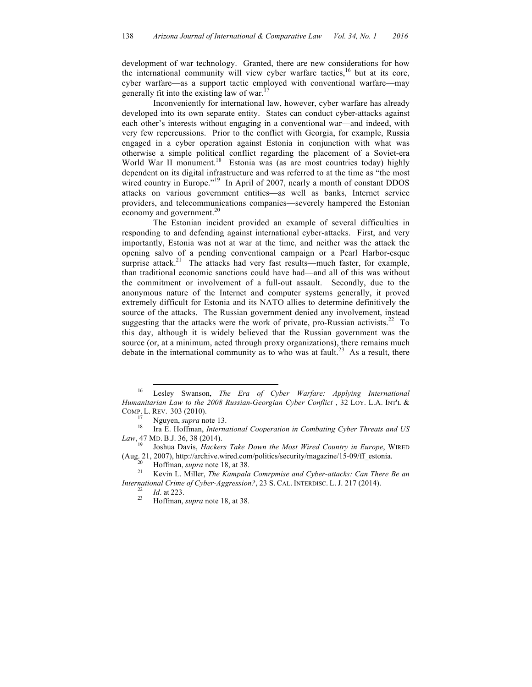development of war technology. Granted, there are new considerations for how the international community will view cyber warfare tactics,<sup>16</sup> but at its core, cyber warfare—as a support tactic employed with conventional warfare—may generally fit into the existing law of war.

Inconveniently for international law, however, cyber warfare has already developed into its own separate entity. States can conduct cyber-attacks against each other's interests without engaging in a conventional war—and indeed, with very few repercussions. Prior to the conflict with Georgia, for example, Russia engaged in a cyber operation against Estonia in conjunction with what was otherwise a simple political conflict regarding the placement of a Soviet-era World War II monument.<sup>18</sup> Estonia was (as are most countries today) highly dependent on its digital infrastructure and was referred to at the time as "the most wired country in Europe."<sup>19</sup> In April of 2007, nearly a month of constant DDOS attacks on various government entities—as well as banks, Internet service providers, and telecommunications companies—severely hampered the Estonian economy and government. $2^{0}$ 

The Estonian incident provided an example of several difficulties in responding to and defending against international cyber-attacks. First, and very importantly, Estonia was not at war at the time, and neither was the attack the opening salvo of a pending conventional campaign or a Pearl Harbor-esque surprise attack.<sup>21</sup> The attacks had very fast results—much faster, for example, than traditional economic sanctions could have had—and all of this was without the commitment or involvement of a full-out assault. Secondly, due to the anonymous nature of the Internet and computer systems generally, it proved extremely difficult for Estonia and its NATO allies to determine definitively the source of the attacks. The Russian government denied any involvement, instead suggesting that the attacks were the work of private, pro-Russian activists.<sup>22</sup> To this day, although it is widely believed that the Russian government was the source (or, at a minimum, acted through proxy organizations), there remains much debate in the international community as to who was at fault.<sup>23</sup> As a result, there

 <sup>16</sup> Lesley Swanson, *The Era of Cyber Warfare: Applying International Humanitarian Law to the 2008 Russian-Georgian Cyber Conflict* , 32 LOY. L.A. INT'L &

COMP. L. REV. 303 (2010).<br><sup>17</sup> Nguyen, *supra* note 13.<br><sup>18</sup> Ira E. Hoffman, *International Cooperation in Combating Cyber Threats and US Law*, 47 MD. B.J. 36, 38 (2014).

*Joshua Davis, Hackers Take Down the Most Wired Country in Europe*, WIRED (Aug. 21, 2007), http://archive.wired.com/politics/security/magazine/15-09/ff\_estonia. <sup>20</sup> Hoffman, *supra* note 18, at 38. 21 Kevin L. Miller, *The Kampala Comrpmise and Cyber-attacks: Can There Be an* 

*International Crime of Cyber-Aggression?*, 23 S. CAL. INTERDISC. L. J. 217 (2014). 22 *Id*. at 223. <sup>23</sup> Hoffman, *supra* note 18, at 38.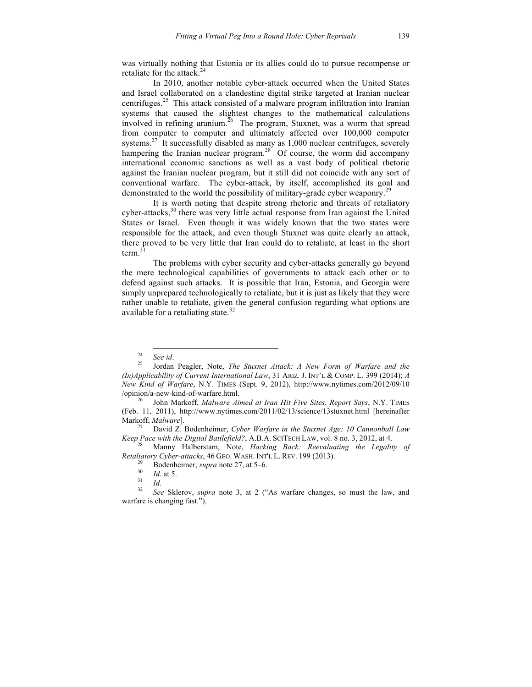was virtually nothing that Estonia or its allies could do to pursue recompense or retaliate for the attack.<sup>24</sup>

In 2010, another notable cyber-attack occurred when the United States and Israel collaborated on a clandestine digital strike targeted at Iranian nuclear centrifuges. 25 This attack consisted of a malware program infiltration into Iranian systems that caused the slightest changes to the mathematical calculations involved in refining uranium.<sup>26</sup> The program, Stuxnet, was a worm that spread from computer to computer and ultimately affected over 100,000 computer systems.<sup>27</sup> It successfully disabled as many as 1,000 nuclear centrifuges, severely hampering the Iranian nuclear program.<sup>28</sup> Of course, the worm did accompany international economic sanctions as well as a vast body of political rhetoric against the Iranian nuclear program, but it still did not coincide with any sort of conventional warfare. The cyber-attack, by itself, accomplished its goal and demonstrated to the world the possibility of military-grade cyber weaponry.<sup>29</sup>

It is worth noting that despite strong rhetoric and threats of retaliatory cyber-attacks, $30$  there was very little actual response from Iran against the United States or Israel. Even though it was widely known that the two states were responsible for the attack, and even though Stuxnet was quite clearly an attack, there proved to be very little that Iran could do to retaliate, at least in the short term. $3$ 

The problems with cyber security and cyber-attacks generally go beyond the mere technological capabilities of governments to attack each other or to defend against such attacks. It is possible that Iran, Estonia, and Georgia were simply unprepared technologically to retaliate, but it is just as likely that they were rather unable to retaliate, given the general confusion regarding what options are available for a retaliating state. $32$ 

Retaliatory Cyber-attacks, 46 GEO. WASH. INT'L L. REV. 199 (2013).<br>
<sup>29</sup> Bodenheimer, *supra* note 27, at 5–6.<br>
<sup>30</sup> Id. at 5.<br>
<sup>31</sup> Id.<br>
<sup>32</sup> See Sklerov, *supra* note 3, at 2 ("As warfare changes, so must the law, and

<sup>24</sup> *See id*. <sup>25</sup> Jordan Peagler, Note, *The Stuxnet Attack: A New Form of Warfare and the (In)Applicability of Current International Law*, 31 ARIZ. J. INT'L & COMP. L. 399 (2014); *A New Kind of Warfare*, N.Y. TIMES (Sept. 9, 2012), http://www.nytimes.com/2012/09/10 /opinion/a-new-kind-of-warfare.html. <sup>26</sup> John Markoff, *Malware Aimed at Iran Hit Five Sites, Report Says*, N.Y. TIMES

<sup>(</sup>Feb. 11, 2011), http://www.nytimes.com/2011/02/13/science/13stuxnet.html [hereinafter Markoff, *Malware*]. <sup>27</sup> David Z. Bodenheimer, *Cyber Warfare in the Stuxnet Age: 10 Cannonball Law* 

*Keep Pace with the Digital Battlefield?*, A.B.A. SCITECH LAW, vol. 8 no. 3, 2012, at 4.<br><sup>28</sup> Manny Halberstam, Note, *Hacking Back: Reevaluating the Legality of* 

warfare is changing fast.").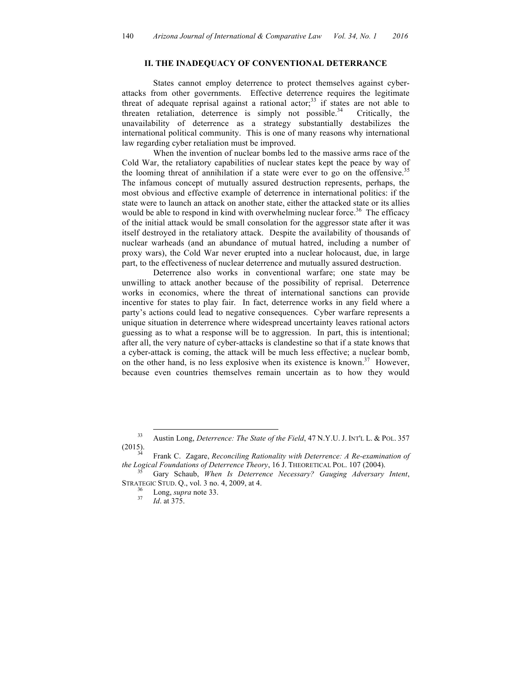### **II. THE INADEQUACY OF CONVENTIONAL DETERRANCE**

States cannot employ deterrence to protect themselves against cyberattacks from other governments. Effective deterrence requires the legitimate threat of adequate reprisal against a rational actor;<sup>33</sup> if states are not able to threaten retaliation, deterrence is simply not possible.<sup>34</sup> Critically, the unavailability of deterrence as a strategy substantially destabilizes the international political community. This is one of many reasons why international law regarding cyber retaliation must be improved.

When the invention of nuclear bombs led to the massive arms race of the Cold War, the retaliatory capabilities of nuclear states kept the peace by way of the looming threat of annihilation if a state were ever to go on the offensive.<sup>35</sup> The infamous concept of mutually assured destruction represents, perhaps, the most obvious and effective example of deterrence in international politics: if the state were to launch an attack on another state, either the attacked state or its allies would be able to respond in kind with overwhelming nuclear force.<sup>36</sup> The efficacy of the initial attack would be small consolation for the aggressor state after it was itself destroyed in the retaliatory attack. Despite the availability of thousands of nuclear warheads (and an abundance of mutual hatred, including a number of proxy wars), the Cold War never erupted into a nuclear holocaust, due, in large part, to the effectiveness of nuclear deterrence and mutually assured destruction.

Deterrence also works in conventional warfare; one state may be unwilling to attack another because of the possibility of reprisal. Deterrence works in economics, where the threat of international sanctions can provide incentive for states to play fair. In fact, deterrence works in any field where a party's actions could lead to negative consequences. Cyber warfare represents a unique situation in deterrence where widespread uncertainty leaves rational actors guessing as to what a response will be to aggression. In part, this is intentional; after all, the very nature of cyber-attacks is clandestine so that if a state knows that a cyber-attack is coming, the attack will be much less effective; a nuclear bomb, on the other hand, is no less explosive when its existence is known. 37 However, because even countries themselves remain uncertain as to how they would

 <sup>33</sup> Austin Long, *Deterrence: The State of the Field*, 47 N.Y.U. J. INT'L L. & POL. <sup>357</sup> (2015). 34 Frank C. Zagare, *Reconciling Rationality with Deterrence: A Re-examination of* 

*the Logical Foundations of Deterrence Theory*, 16 J. THEORETICAL POL. 107 (2004). <sup>35</sup> Gary Schaub, *When Is Deterrence Necessary? Gauging Adversary Intent*,

STRATEGIC STUD. Q., vol. 3 no. 4, 2009, at 4. <sup>36</sup> Long, *supra* note 33. <sup>37</sup> *Id*. at 375.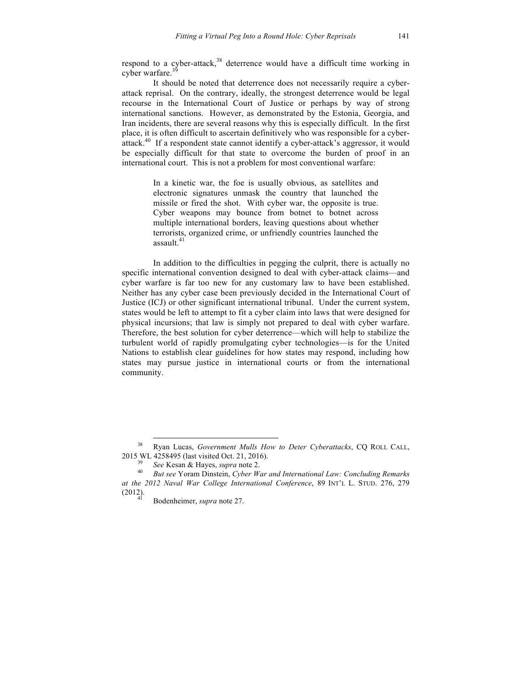respond to a cyber-attack,<sup>38</sup> deterrence would have a difficult time working in cyber warfare.<sup>39</sup>

It should be noted that deterrence does not necessarily require a cyberattack reprisal. On the contrary, ideally, the strongest deterrence would be legal recourse in the International Court of Justice or perhaps by way of strong international sanctions. However, as demonstrated by the Estonia, Georgia, and Iran incidents, there are several reasons why this is especially difficult. In the first place, it is often difficult to ascertain definitively who was responsible for a cyberattack.<sup>40</sup> If a respondent state cannot identify a cyber-attack's aggressor, it would be especially difficult for that state to overcome the burden of proof in an international court. This is not a problem for most conventional warfare:

> In a kinetic war, the foe is usually obvious, as satellites and electronic signatures unmask the country that launched the missile or fired the shot. With cyber war, the opposite is true. Cyber weapons may bounce from botnet to botnet across multiple international borders, leaving questions about whether terrorists, organized crime, or unfriendly countries launched the assault.<sup>41</sup>

In addition to the difficulties in pegging the culprit, there is actually no specific international convention designed to deal with cyber-attack claims—and cyber warfare is far too new for any customary law to have been established. Neither has any cyber case been previously decided in the International Court of Justice (ICJ) or other significant international tribunal. Under the current system, states would be left to attempt to fit a cyber claim into laws that were designed for physical incursions; that law is simply not prepared to deal with cyber warfare. Therefore, the best solution for cyber deterrence—which will help to stabilize the turbulent world of rapidly promulgating cyber technologies—is for the United Nations to establish clear guidelines for how states may respond, including how states may pursue justice in international courts or from the international community.

 <sup>38</sup> Ryan Lucas, *Government Mulls How to Deter Cyberattacks*, CQ ROLL CALL, 2015 WL 4258495 (last visited Oct. 21, 2016). <sup>39</sup> *See* Kesan & Hayes, *supra* note 2. <sup>40</sup> *But see* Yoram Dinstein, *Cyber War and International Law: Concluding Remarks* 

*at the 2012 Naval War College International Conference*, 89 INT'L L. STUD. 276, 279 (2012). <sup>41</sup> Bodenheimer, *supra* note 27.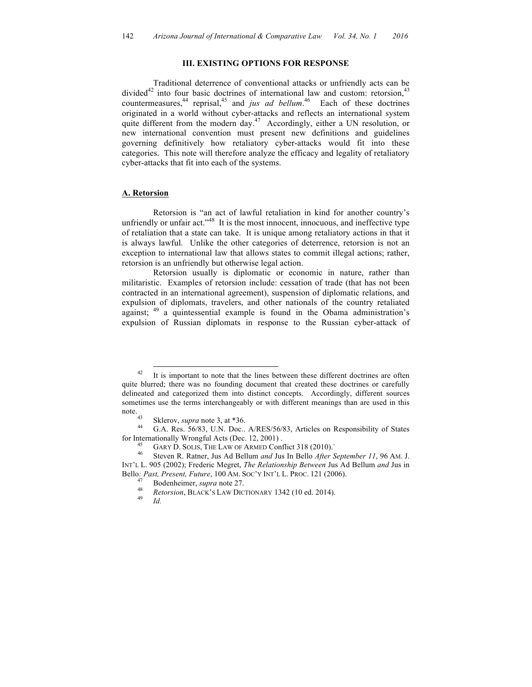# **III. EXISTING OPTIONS FOR RESPONSE**

Traditional deterrence of conventional attacks or unfriendly acts can be divided<sup>42</sup> into four basic doctrines of international law and custom: retorsion,<sup>43</sup> countermeasures,<sup>44</sup> reprisal,<sup>45</sup> and *jus ad bellum*.<sup>46</sup> Each of these doctrines originated in a world without cyber-attacks and reflects an international system quite different from the modern day.<sup>47</sup> Accordingly, either a UN resolution, or new international convention must present new definitions and guidelines governing definitively how retaliatory cyber-attacks would fit into these categories. This note will therefore analyze the efficacy and legality of retaliatory cyber-attacks that fit into each of the systems.

### **A. Retorsion**

Retorsion is "an act of lawful retaliation in kind for another country's unfriendly or unfair act."<sup>48</sup> It is the most innocent, innocuous, and ineffective type of retaliation that a state can take. It is unique among retaliatory actions in that it is always lawful. Unlike the other categories of deterrence, retorsion is not an exception to international law that allows states to commit illegal actions; rather, retorsion is an unfriendly but otherwise legal action.

Retorsion usually is diplomatic or economic in nature, rather than militaristic. Examples of retorsion include: cessation of trade (that has not been contracted in an international agreement), suspension of diplomatic relations, and expulsion of diplomats, travelers, and other nationals of the country retaliated against;  $49$  a quintessential example is found in the Obama administration's expulsion of Russian diplomats in response to the Russian cyber-attack of

 $42$  It is important to note that the lines between these different doctrines are often quite blurred; there was no founding document that created these doctrines or carefully delineated and categorized them into distinct concepts. Accordingly, different sources sometimes use the terms interchangeably or with different meanings than are used in this note.

<sup>&</sup>lt;sup>43</sup> Sklerov, *supra* note 3, at \*36.<br><sup>44</sup> G.A. Res. 56/83, U.N. Doc.. A/RES/56/83, Articles on Responsibility of States for Internationally Wrongful Acts (Dec. 12, 2001) . <sup>45</sup> GARY D. SOLIS, THE LAW OF ARMED Conflict 318 (2010).` <sup>46</sup> Steven R. Ratner, Jus Ad Bellum *and* Jus In Bello *After September 11*, 96 AM. J.

INT'L L. 905 (2002); Frederic Megret, *The Relationship Between* Jus Ad Bellum *and* Jus in Bello*: Past, Present, Future*, 100 AM. SOC'Y INT'L L. PROC. <sup>121</sup> (2006). 47 Bodenheimer, *supra* note 27. <sup>48</sup> *Retorsion*, BLACK'S LAW DICTIONARY 1342 (10 ed. 2014). 49 *Id.*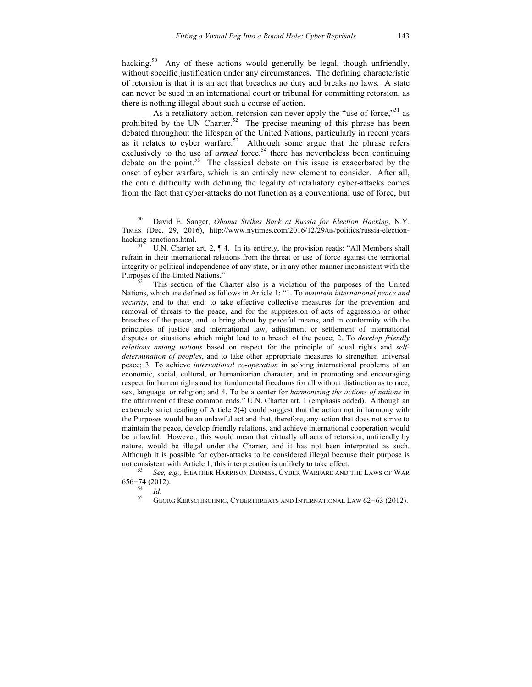hacking.<sup>50</sup> Any of these actions would generally be legal, though unfriendly, without specific justification under any circumstances. The defining characteristic of retorsion is that it is an act that breaches no duty and breaks no laws. A state can never be sued in an international court or tribunal for committing retorsion, as there is nothing illegal about such a course of action.

As a retaliatory action, retorsion can never apply the "use of force,"<sup>51</sup> as prohibited by the UN Charter.<sup>52</sup> The precise meaning of this phrase has been debated throughout the lifespan of the United Nations, particularly in recent years as it relates to cyber warfare.<sup>53</sup> Although some argue that the phrase refers exclusively to the use of *armed* force,<sup>54</sup> there has nevertheless been continuing debate on the point.<sup>55</sup> The classical debate on this issue is exacerbated by the onset of cyber warfare, which is an entirely new element to consider. After all, the entire difficulty with defining the legality of retaliatory cyber-attacks comes from the fact that cyber-attacks do not function as a conventional use of force, but

This section of the Charter also is a violation of the purposes of the United Nations, which are defined as follows in Article 1: "1. To *maintain international peace and security*, and to that end: to take effective collective measures for the prevention and removal of threats to the peace, and for the suppression of acts of aggression or other breaches of the peace, and to bring about by peaceful means, and in conformity with the principles of justice and international law, adjustment or settlement of international disputes or situations which might lead to a breach of the peace; 2. To *develop friendly relations among nations* based on respect for the principle of equal rights and *selfdetermination of peoples*, and to take other appropriate measures to strengthen universal peace; 3. To achieve *international co-operation* in solving international problems of an economic, social, cultural, or humanitarian character, and in promoting and encouraging respect for human rights and for fundamental freedoms for all without distinction as to race, sex, language, or religion; and 4. To be a center for *harmonizing the actions of nations* in the attainment of these common ends." U.N. Charter art. 1 (emphasis added). Although an extremely strict reading of Article 2(4) could suggest that the action not in harmony with the Purposes would be an unlawful act and that, therefore, any action that does not strive to maintain the peace, develop friendly relations, and achieve international cooperation would be unlawful. However, this would mean that virtually all acts of retorsion, unfriendly by nature, would be illegal under the Charter, and it has not been interpreted as such. Although it is possible for cyber-attacks to be considered illegal because their purpose is not consistent with Article 1, this interpretation is unlikely to take effect. <sup>53</sup> *See, e.g.,* HEATHER HARRISON DINNISS, CYBER WARFARE AND THE LAWS OF WAR

 $656-74$  (2012).

<sup>54</sup> *Id.* 65 GEORG KERSCHISCHNIG, CYBERTHREATS AND INTERNATIONAL LAW 62-63 (2012).

 <sup>50</sup> David E. Sanger, *Obama Strikes Back at Russia for Election Hacking*, N.Y. TIMES (Dec. 29, 2016), http://www.nytimes.com/2016/12/29/us/politics/russia-election-

hacking-sanctions.html.<br><sup>51</sup> U.N. Charter art. 2,  $\P$  4. In its entirety, the provision reads: "All Members shall refrain in their international relations from the threat or use of force against the territorial integrity or political independence of any state, or in any other manner inconsistent with the Purposes of the United Nations."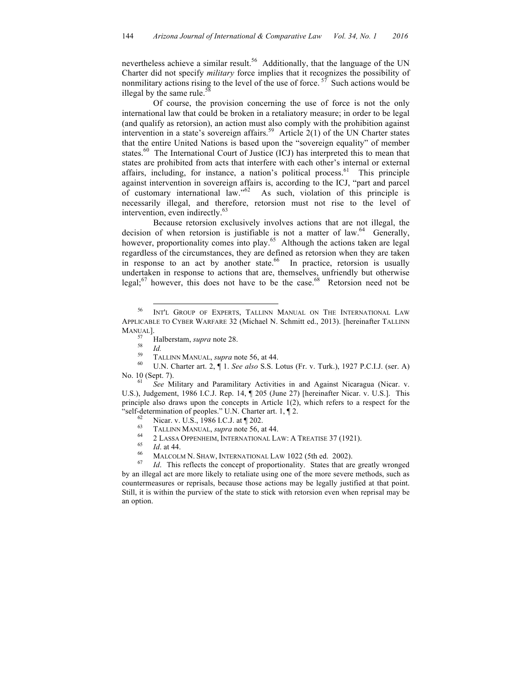nevertheless achieve a similar result.<sup>56</sup> Additionally, that the language of the UN Charter did not specify *military* force implies that it recognizes the possibility of nonmilitary actions rising to the level of the use of force.<sup>57</sup> Such actions would be illegal by the same rule.

Of course, the provision concerning the use of force is not the only international law that could be broken in a retaliatory measure; in order to be legal (and qualify as retorsion), an action must also comply with the prohibition against intervention in a state's sovereign affairs. 59 Article 2(1) of the UN Charter states that the entire United Nations is based upon the "sovereign equality" of member states.<sup>60</sup> The International Court of Justice (ICJ) has interpreted this to mean that states are prohibited from acts that interfere with each other's internal or external affairs, including, for instance, a nation's political process.<sup>61</sup> This principle against intervention in sovereign affairs is, according to the ICJ, "part and parcel of customary international law."<sup>62</sup> As such, violation of this principle is necessarily illegal, and therefore, retorsion must not rise to the level of intervention, even indirectly.<sup>63</sup>

Because retorsion exclusively involves actions that are not illegal, the decision of when retorsion is justifiable is not a matter of law.<sup>64</sup> Generally, however, proportionality comes into play.<sup>65</sup> Although the actions taken are legal regardless of the circumstances, they are defined as retorsion when they are taken in response to an act by another state.<sup>66</sup> In practice, retorsion is usually undertaken in response to actions that are, themselves, unfriendly but otherwise legal; $^{67}$  however, this does not have to be the case.  $^{68}$  Retorsion need not be

U.S.), Judgement, 1986 I.C.J. Rep. 14, ¶ 205 (June 27) [hereinafter Nicar. v. U.S.]. This principle also draws upon the concepts in Article 1(2), which refers to a respect for the "self-determination of peoples." U.N. Charter art. 1,  $\P$  2.<br>
<sup>62</sup> Nicar. v. U.S., 1986 I.C.J. at  $\P$  202.<br>
<sup>63</sup> TALLINN MANUAL, *supra* note 56, at 44.<br>
<sup>64</sup> 2 LASSA OPPENHEIM, INTERNATIONAL LAW: A TREATISE 37 (1921).<br>
<sup></sup>

- 
- 
- 

by an illegal act are more likely to retaliate using one of the more severe methods, such as countermeasures or reprisals, because those actions may be legally justified at that point. Still, it is within the purview of the state to stick with retorsion even when reprisal may be an option.

 <sup>56</sup> INT'L GROUP OF EXPERTS, TALLINN MANUAL ON THE INTERNATIONAL LAW APPLICABLE TO CYBER WARFARE 32 (Michael N. Schmitt ed., 2013). [hereinafter TALLINN MANUAL].<br><sup>57</sup> Halberstam, *supra* note 28.<br><sup>59</sup> TALLINN MANUAL, *supra* note 56, at 44.<br><sup>60</sup> U.N. Charter art. 2, ¶ 1. *See also* S.S. Lotus (Fr. v. Turk.), 1927 P.C.I.J. (ser. A)

No. 10 (Sept. 7). <sup>61</sup> *See* Military and Paramilitary Activities in and Against Nicaragua (Nicar. v.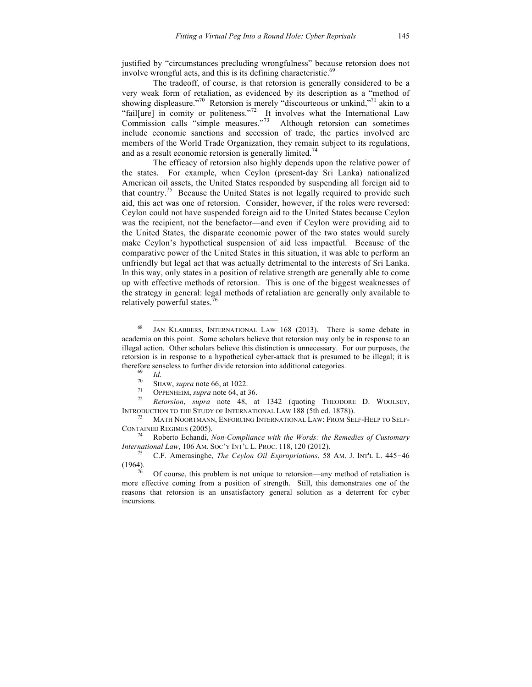justified by "circumstances precluding wrongfulness" because retorsion does not involve wrongful acts, and this is its defining characteristic.<sup>69</sup>

The tradeoff, of course, is that retorsion is generally considered to be a very weak form of retaliation, as evidenced by its description as a "method of showing displeasure."<sup>70</sup> Retorsion is merely "discourteous or unkind,"<sup>71</sup> akin to a "fail[ure] in comity or politeness."<sup>72</sup> It involves what the International Law Commission calls "simple measures."<sup>73</sup> Although retorsion can sometimes include economic sanctions and secession of trade, the parties involved are members of the World Trade Organization, they remain subject to its regulations, and as a result economic retorsion is generally limited.<sup>74</sup>

The efficacy of retorsion also highly depends upon the relative power of the states. For example, when Ceylon (present-day Sri Lanka) nationalized American oil assets, the United States responded by suspending all foreign aid to that country.<sup>75</sup> Because the United States is not legally required to provide such aid, this act was one of retorsion. Consider, however, if the roles were reversed: Ceylon could not have suspended foreign aid to the United States because Ceylon was the recipient, not the benefactor—and even if Ceylon were providing aid to the United States, the disparate economic power of the two states would surely make Ceylon's hypothetical suspension of aid less impactful. Because of the comparative power of the United States in this situation, it was able to perform an unfriendly but legal act that was actually detrimental to the interests of Sri Lanka. In this way, only states in a position of relative strength are generally able to come up with effective methods of retorsion. This is one of the biggest weaknesses of the strategy in general: legal methods of retaliation are generally only available to relatively powerful states.<sup>7</sup>

 <sup>68</sup> JAN KLABBERS, INTERNATIONAL LAW 168 (2013). There is some debate in academia on this point. Some scholars believe that retorsion may only be in response to an illegal action. Other scholars believe this distinction is unnecessary. For our purposes, the retorsion is in response to a hypothetical cyber-attack that is presumed to be illegal; it is

therefore senseless to further divide retorsion into additional categories.<br>
<sup>69</sup> *Id.*<br>
<sup>70</sup> SHAW, *supra* note 66, at 1022.<br>
<sup>71</sup> OPPENHEIM, *supra* note 64, at 36.<br>
<sup>72</sup> *Retorsion, supra* note 48, at 1342 (quoting THE

INTRODUCTION TO THE STUDY OF INTERNATIONAL LAW 188 (5th ed. 1878)).<br><sup>73</sup> MATH NOORTMANN, ENFORCING INTERNATIONAL LAW: FROM SELF-HELP TO SELF-CONTAINED REGIMES (2005).

Roberto Echandi, *Non-Compliance with the Words: the Remedies of Customary* 

*International Law*, 106 AM. Soc'Y INT'L L. PROC. 118, 120 (2012).<br><sup>75</sup> C.F. Amerasinghe, *The Ceylon Oil Expropriations*, 58 AM. J. INT'L L. 445-46 (1964).

Of course, this problem is not unique to retorsion—any method of retaliation is more effective coming from a position of strength. Still, this demonstrates one of the reasons that retorsion is an unsatisfactory general solution as a deterrent for cyber incursions.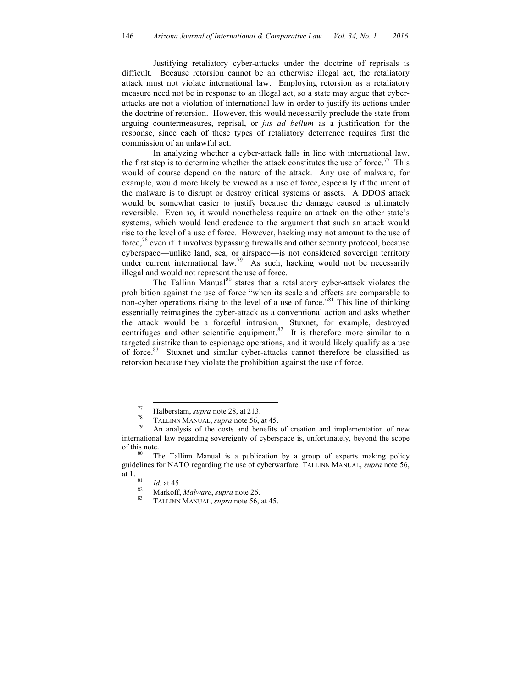Justifying retaliatory cyber-attacks under the doctrine of reprisals is difficult. Because retorsion cannot be an otherwise illegal act, the retaliatory attack must not violate international law. Employing retorsion as a retaliatory measure need not be in response to an illegal act, so a state may argue that cyberattacks are not a violation of international law in order to justify its actions under the doctrine of retorsion. However, this would necessarily preclude the state from arguing countermeasures, reprisal, or *jus ad bellum* as a justification for the response, since each of these types of retaliatory deterrence requires first the commission of an unlawful act.

In analyzing whether a cyber-attack falls in line with international law, the first step is to determine whether the attack constitutes the use of force.<sup>77</sup> This would of course depend on the nature of the attack. Any use of malware, for example, would more likely be viewed as a use of force, especially if the intent of the malware is to disrupt or destroy critical systems or assets. A DDOS attack would be somewhat easier to justify because the damage caused is ultimately reversible. Even so, it would nonetheless require an attack on the other state's systems, which would lend credence to the argument that such an attack would rise to the level of a use of force. However, hacking may not amount to the use of force, $^{78}$  even if it involves bypassing firewalls and other security protocol, because cyberspace—unlike land, sea, or airspace—is not considered sovereign territory under current international law.<sup>79</sup> As such, hacking would not be necessarily illegal and would not represent the use of force.

The Tallinn Manual<sup>80</sup> states that a retaliatory cyber-attack violates the prohibition against the use of force "when its scale and effects are comparable to non-cyber operations rising to the level of a use of force."81 This line of thinking essentially reimagines the cyber-attack as a conventional action and asks whether the attack would be a forceful intrusion. Stuxnet, for example, destroyed centrifuges and other scientific equipment. 82 It is therefore more similar to a targeted airstrike than to espionage operations, and it would likely qualify as a use of force. <sup>83</sup> Stuxnet and similar cyber-attacks cannot therefore be classified as retorsion because they violate the prohibition against the use of force.

<sup>77</sup> Halberstam, *supra* note 28, at 213. <sup>78</sup> TALLINN MANUAL, *supra* note 56, at 45. <sup>79</sup> An analysis of the costs and benefits of creation and implementation of new international law regarding sovereignty of cyberspace is, unfortunately, beyond the scope of this note.<br><sup>80</sup> The Tallinn Manual is a publication by a group of experts making policy

guidelines for NATO regarding the use of cyberwarfare. TALLINN MANUAL, *supra* note 56,

at 1. <sup>81</sup> *Id.* at 45. <sup>82</sup> Markoff, *Malware*, *supra* note 26. <sup>83</sup> TALLINN MANUAL, *supra* note 56, at 45.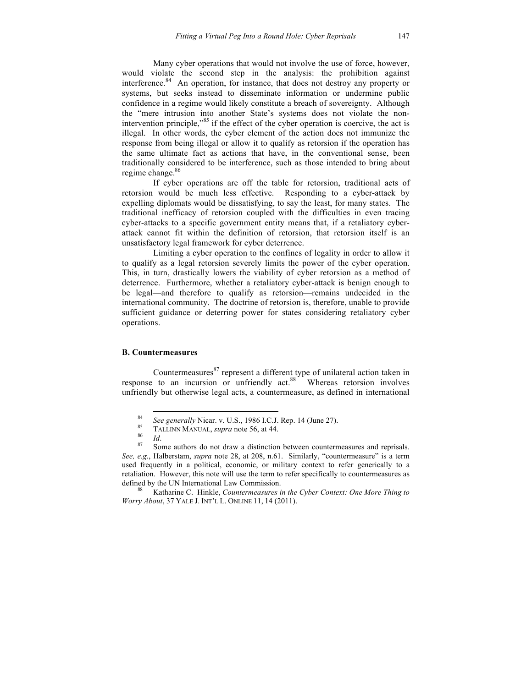Many cyber operations that would not involve the use of force, however, would violate the second step in the analysis: the prohibition against interference. 84 An operation, for instance, that does not destroy any property or systems, but seeks instead to disseminate information or undermine public confidence in a regime would likely constitute a breach of sovereignty. Although the "mere intrusion into another State's systems does not violate the nonintervention principle," <sup>85</sup> if the effect of the cyber operation is coercive, the act is illegal. In other words, the cyber element of the action does not immunize the response from being illegal or allow it to qualify as retorsion if the operation has the same ultimate fact as actions that have, in the conventional sense, been traditionally considered to be interference, such as those intended to bring about regime change.<sup>86</sup>

If cyber operations are off the table for retorsion, traditional acts of retorsion would be much less effective. Responding to a cyber-attack by expelling diplomats would be dissatisfying, to say the least, for many states. The traditional inefficacy of retorsion coupled with the difficulties in even tracing cyber-attacks to a specific government entity means that, if a retaliatory cyberattack cannot fit within the definition of retorsion, that retorsion itself is an unsatisfactory legal framework for cyber deterrence.

Limiting a cyber operation to the confines of legality in order to allow it to qualify as a legal retorsion severely limits the power of the cyber operation. This, in turn, drastically lowers the viability of cyber retorsion as a method of deterrence. Furthermore, whether a retaliatory cyber-attack is benign enough to be legal—and therefore to qualify as retorsion—remains undecided in the international community. The doctrine of retorsion is, therefore, unable to provide sufficient guidance or deterring power for states considering retaliatory cyber operations.

# **B. Countermeasures**

Countermeasures $87$  represent a different type of unilateral action taken in response to an incursion or unfriendly act. $88<sup>3</sup>$  Whereas retorsion involves unfriendly but otherwise legal acts, a countermeasure, as defined in international

Katharine C. Hinkle, *Countermeasures in the Cyber Context: One More Thing to Worry About*, 37 YALE J. INT'L L. ONLINE 11, 14 (2011).

<sup>&</sup>lt;sup>84</sup> *See generally* Nicar. v. U.S., 1986 I.C.J. Rep. 14 (June 27).<br><sup>85</sup> TALLINN MANUAL, *supra* note 56, at 44.<br><sup>87</sup> Some authors do not draw a distinction between countermeasures and reprisals. *See, e.g*., Halberstam, *supra* note 28, at 208, n.61. Similarly, "countermeasure" is a term used frequently in a political, economic, or military context to refer generically to a retaliation. However, this note will use the term to refer specifically to countermeasures as defined by the UN International Law Commission.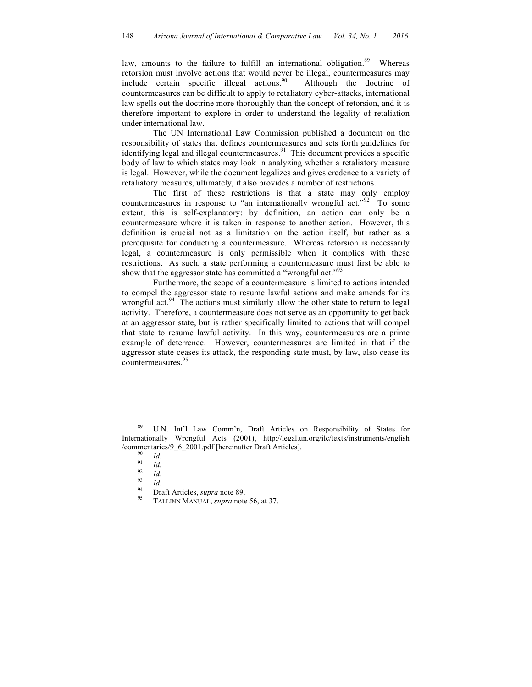law, amounts to the failure to fulfill an international obligation.<sup>89</sup> Whereas retorsion must involve actions that would never be illegal, countermeasures may include certain specific illegal actions.<sup>90</sup> Although the doctrine of countermeasures can be difficult to apply to retaliatory cyber-attacks, international law spells out the doctrine more thoroughly than the concept of retorsion, and it is therefore important to explore in order to understand the legality of retaliation under international law.

The UN International Law Commission published a document on the responsibility of states that defines countermeasures and sets forth guidelines for identifying legal and illegal countermeasures.<sup>91</sup> This document provides a specific body of law to which states may look in analyzing whether a retaliatory measure is legal. However, while the document legalizes and gives credence to a variety of retaliatory measures, ultimately, it also provides a number of restrictions.

The first of these restrictions is that a state may only employ countermeasures in response to "an internationally wrongful act."<sup>92</sup> To some extent, this is self-explanatory: by definition, an action can only be a countermeasure where it is taken in response to another action. However, this definition is crucial not as a limitation on the action itself, but rather as a prerequisite for conducting a countermeasure. Whereas retorsion is necessarily legal, a countermeasure is only permissible when it complies with these restrictions. As such, a state performing a countermeasure must first be able to show that the aggressor state has committed a "wrongful act."<sup>93</sup>

Furthermore, the scope of a countermeasure is limited to actions intended to compel the aggressor state to resume lawful actions and make amends for its wrongful act. $94$  The actions must similarly allow the other state to return to legal activity. Therefore, a countermeasure does not serve as an opportunity to get back at an aggressor state, but is rather specifically limited to actions that will compel that state to resume lawful activity. In this way, countermeasures are a prime example of deterrence. However, countermeasures are limited in that if the aggressor state ceases its attack, the responding state must, by law, also cease its countermeasures.<sup>95</sup>

 <sup>89</sup> U.N. Int'l Law Comm'n, Draft Articles on Responsibility of States for Internationally Wrongful Acts (2001), http://legal.un.org/ilc/texts/instruments/english /commentaries/9\_6\_2001.pdf [hereinafter Draft Articles]. <sup>90</sup> *Id*. 91 *Id.* <sup>92</sup> *Id*. <sup>93</sup> *Id*. <sup>94</sup> Draft Articles, *supra* note 89. <sup>95</sup> TALLINN MANUAL, *supra* note 56, at 37.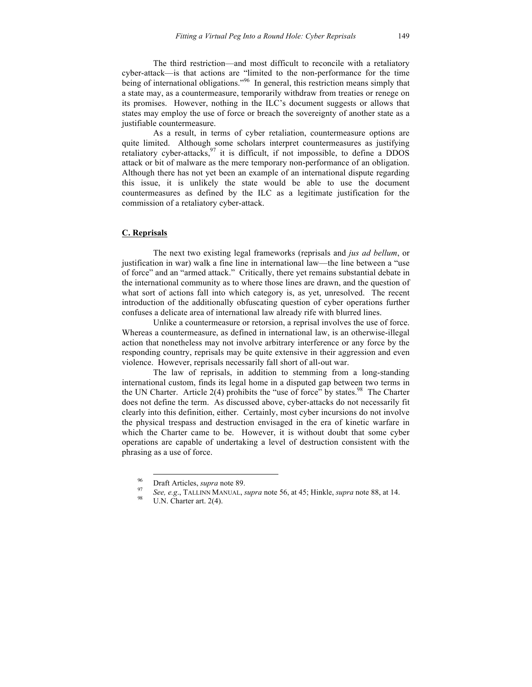The third restriction—and most difficult to reconcile with a retaliatory cyber-attack—is that actions are "limited to the non-performance for the time being of international obligations."<sup>96</sup> In general, this restriction means simply that a state may, as a countermeasure, temporarily withdraw from treaties or renege on its promises. However, nothing in the ILC's document suggests or allows that states may employ the use of force or breach the sovereignty of another state as a justifiable countermeasure.

As a result, in terms of cyber retaliation, countermeasure options are quite limited. Although some scholars interpret countermeasures as justifying retaliatory cyber-attacks,  $97$  it is difficult, if not impossible, to define a DDOS attack or bit of malware as the mere temporary non-performance of an obligation. Although there has not yet been an example of an international dispute regarding this issue, it is unlikely the state would be able to use the document countermeasures as defined by the ILC as a legitimate justification for the commission of a retaliatory cyber-attack.

### **C. Reprisals**

The next two existing legal frameworks (reprisals and *jus ad bellum*, or justification in war) walk a fine line in international law—the line between a "use of force" and an "armed attack." Critically, there yet remains substantial debate in the international community as to where those lines are drawn, and the question of what sort of actions fall into which category is, as yet, unresolved. The recent introduction of the additionally obfuscating question of cyber operations further confuses a delicate area of international law already rife with blurred lines.

Unlike a countermeasure or retorsion, a reprisal involves the use of force. Whereas a countermeasure, as defined in international law, is an otherwise-illegal action that nonetheless may not involve arbitrary interference or any force by the responding country, reprisals may be quite extensive in their aggression and even violence. However, reprisals necessarily fall short of all-out war.

The law of reprisals, in addition to stemming from a long-standing international custom, finds its legal home in a disputed gap between two terms in the UN Charter. Article 2(4) prohibits the "use of force" by states.<sup>98</sup> The Charter does not define the term. As discussed above, cyber-attacks do not necessarily fit clearly into this definition, either. Certainly, most cyber incursions do not involve the physical trespass and destruction envisaged in the era of kinetic warfare in which the Charter came to be. However, it is without doubt that some cyber operations are capable of undertaking a level of destruction consistent with the phrasing as a use of force.

<sup>96</sup> Draft Articles, *supra* note 89.<br><sup>97</sup> *See, e.g.*, TALLINN MANUAL, *supra* note 56, at 45; Hinkle, *supra* note 88, at 14.<br><sup>98</sup> U.N. Charter art. 2(4).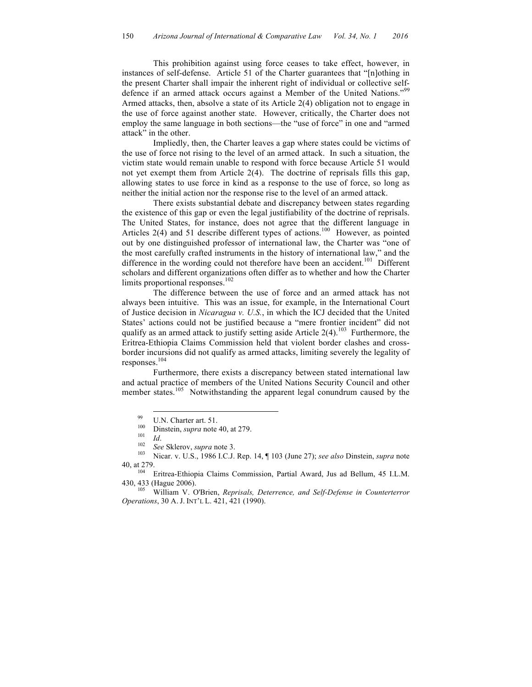This prohibition against using force ceases to take effect, however, in instances of self-defense. Article 51 of the Charter guarantees that "[n]othing in the present Charter shall impair the inherent right of individual or collective selfdefence if an armed attack occurs against a Member of the United Nations."<sup>99</sup> Armed attacks, then, absolve a state of its Article 2(4) obligation not to engage in the use of force against another state. However, critically, the Charter does not employ the same language in both sections—the "use of force" in one and "armed attack" in the other.

Impliedly, then, the Charter leaves a gap where states could be victims of the use of force not rising to the level of an armed attack. In such a situation, the victim state would remain unable to respond with force because Article 51 would not yet exempt them from Article 2(4). The doctrine of reprisals fills this gap, allowing states to use force in kind as a response to the use of force, so long as neither the initial action nor the response rise to the level of an armed attack.

There exists substantial debate and discrepancy between states regarding the existence of this gap or even the legal justifiability of the doctrine of reprisals. The United States, for instance, does not agree that the different language in Articles 2(4) and 51 describe different types of actions.<sup>100</sup> However, as pointed out by one distinguished professor of international law, the Charter was "one of the most carefully crafted instruments in the history of international law," and the difference in the wording could not therefore have been an accident.<sup>101</sup> Different scholars and different organizations often differ as to whether and how the Charter limits proportional responses. 102

The difference between the use of force and an armed attack has not always been intuitive. This was an issue, for example, in the International Court of Justice decision in *Nicaragua v. U.S.*, in which the ICJ decided that the United States' actions could not be justified because a "mere frontier incident" did not qualify as an armed attack to justify setting aside Article  $2(4)$ .<sup>103</sup> Furthermore, the Eritrea-Ethiopia Claims Commission held that violent border clashes and crossborder incursions did not qualify as armed attacks, limiting severely the legality of responses.104

Furthermore, there exists a discrepancy between stated international law and actual practice of members of the United Nations Security Council and other member states.<sup>105</sup> Notwithstanding the apparent legal conundrum caused by the

<sup>&</sup>lt;sup>99</sup> U.N. Charter art. 51.<br>
<sup>100</sup> Dinstein, *supra* note 40, at 279.<br>
<sup>101</sup> Id.<br>
See Sklerov, *supra* note 3.<br>
<sup>103</sup> Nicar. v. U.S., 1986 I.C.J. Rep. 14, ¶ 103 (June 27); *see also* Dinstein, *supra* note 40, at 279.<br><sup>104</sup> Eritrea-Ethiopia Claims Commission, Partial Award, Jus ad Bellum, 45 I.L.M.

<sup>430, 433 (</sup>Hague 2006). 105 William V. O'Brien, *Reprisals, Deterrence, and Self-Defense in Counterterror* 

*Operations*, 30 A. J. INT'L L. 421, 421 (1990).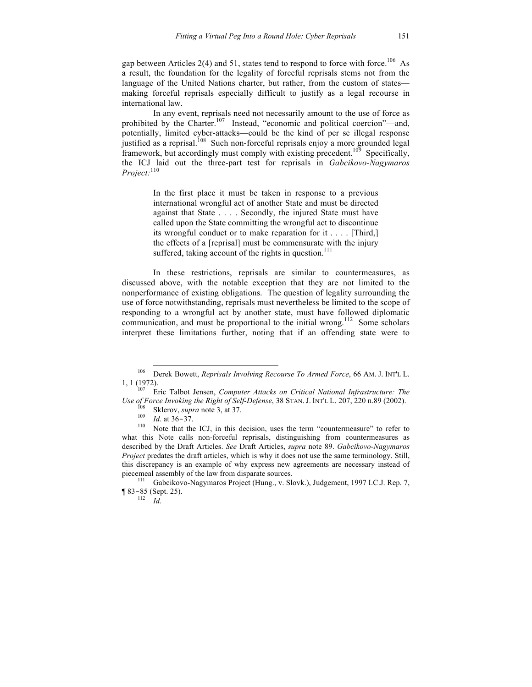gap between Articles 2(4) and 51, states tend to respond to force with force.<sup>106</sup> As a result, the foundation for the legality of forceful reprisals stems not from the language of the United Nations charter, but rather, from the custom of states making forceful reprisals especially difficult to justify as a legal recourse in international law.

In any event, reprisals need not necessarily amount to the use of force as prohibited by the Charter.<sup>107</sup> Instead, "economic and political coercion"—and, potentially, limited cyber-attacks—could be the kind of per se illegal response justified as a reprisal.<sup>108</sup> Such non-forceful reprisals enjoy a more grounded legal framework, but accordingly must comply with existing precedent.<sup>109</sup> Specifically, the ICJ laid out the three-part test for reprisals in *Gabcikovo-Nagymaros Project:*<sup>110</sup>

> In the first place it must be taken in response to a previous international wrongful act of another State and must be directed against that State . . . . Secondly, the injured State must have called upon the State committing the wrongful act to discontinue its wrongful conduct or to make reparation for it . . . . [Third,] the effects of a [reprisal] must be commensurate with the injury suffered, taking account of the rights in question.<sup>111</sup>

In these restrictions, reprisals are similar to countermeasures, as discussed above, with the notable exception that they are not limited to the nonperformance of existing obligations. The question of legality surrounding the use of force notwithstanding, reprisals must nevertheless be limited to the scope of responding to a wrongful act by another state, must have followed diplomatic communication, and must be proportional to the initial wrong.<sup>112</sup> Some scholars interpret these limitations further, noting that if an offending state were to

 <sup>106</sup> Derek Bowett, *Reprisals Involving Recourse To Armed Force*, 66 AM. J. INT'L L. 1, 1 (1972). <sup>107</sup> Eric Talbot Jensen, *Computer Attacks on Critical National Infrastructure: The* 

Use of Force Invoking the Right of Self-Defense, 38 STAN. J. INT'L L. 207, 220 n.89 (2002).<br><sup>108</sup> Sklerov, *supra* note 3, at 37.<br><sup>109</sup> Id. at 36–37.<br><sup>110</sup> Note that the ICJ, in this decision, uses the term "countermeasur

what this Note calls non-forceful reprisals, distinguishing from countermeasures as described by the Draft Articles. *See* Draft Articles, *supra* note 89. *Gabcikovo-Nagymaros Project* predates the draft articles, which is why it does not use the same terminology. Still, this discrepancy is an example of why express new agreements are necessary instead of

piecemeal assembly of the law from disparate sources.<br><sup>111</sup> Gabcikovo-Nagymaros Project (Hung., v. Slovk.), Judgement, 1997 I.C.J. Rep. 7, ¶ 83-85 (Sept. 25). <sup>112</sup> *Id*.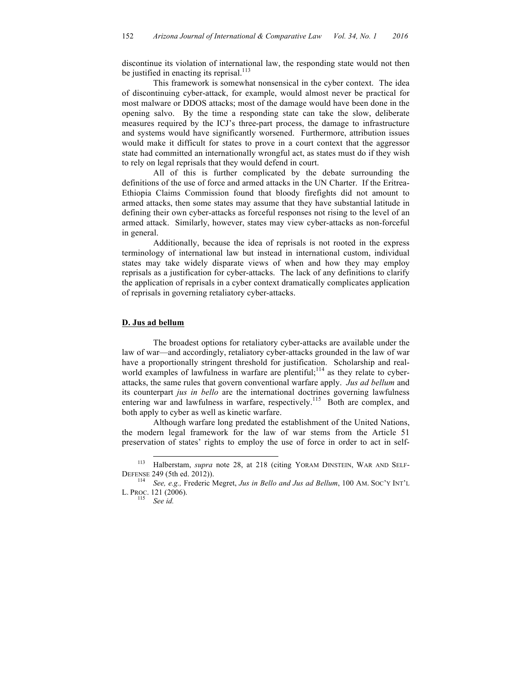discontinue its violation of international law, the responding state would not then be justified in enacting its reprisal.<sup>113</sup>

This framework is somewhat nonsensical in the cyber context. The idea of discontinuing cyber-attack, for example, would almost never be practical for most malware or DDOS attacks; most of the damage would have been done in the opening salvo. By the time a responding state can take the slow, deliberate measures required by the ICJ's three-part process, the damage to infrastructure and systems would have significantly worsened. Furthermore, attribution issues would make it difficult for states to prove in a court context that the aggressor state had committed an internationally wrongful act, as states must do if they wish to rely on legal reprisals that they would defend in court.

All of this is further complicated by the debate surrounding the definitions of the use of force and armed attacks in the UN Charter. If the Eritrea-Ethiopia Claims Commission found that bloody firefights did not amount to armed attacks, then some states may assume that they have substantial latitude in defining their own cyber-attacks as forceful responses not rising to the level of an armed attack. Similarly, however, states may view cyber-attacks as non-forceful in general.

Additionally, because the idea of reprisals is not rooted in the express terminology of international law but instead in international custom, individual states may take widely disparate views of when and how they may employ reprisals as a justification for cyber-attacks. The lack of any definitions to clarify the application of reprisals in a cyber context dramatically complicates application of reprisals in governing retaliatory cyber-attacks.

#### **D. Jus ad bellum**

The broadest options for retaliatory cyber-attacks are available under the law of war—and accordingly, retaliatory cyber-attacks grounded in the law of war have a proportionally stringent threshold for justification. Scholarship and realworld examples of lawfulness in warfare are plentiful;<sup>114</sup> as they relate to cyberattacks, the same rules that govern conventional warfare apply. *Jus ad bellum* and its counterpart *jus in bello* are the international doctrines governing lawfulness entering war and lawfulness in warfare, respectively.<sup>115</sup> Both are complex, and both apply to cyber as well as kinetic warfare.

Although warfare long predated the establishment of the United Nations, the modern legal framework for the law of war stems from the Article 51 preservation of states' rights to employ the use of force in order to act in self-

 <sup>113</sup> Halberstam, *supra* note 28, at 218 (citing YORAM DINSTEIN, WAR AND SELF-

DEFENSE 249 (5th ed. 2012)). <sup>114</sup> *See, e.g.,* Frederic Megret, *Jus in Bello and Jus ad Bellum*, 100 AM. SOC'Y INT'L L. PROC. 121 (2006). <sup>115</sup> *See id.*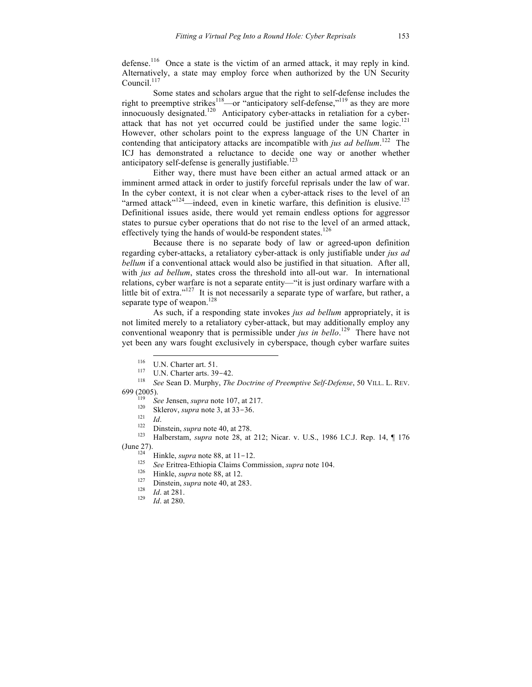defense.<sup>116</sup> Once a state is the victim of an armed attack, it may reply in kind. Alternatively, a state may employ force when authorized by the UN Security Council.<sup>117</sup>

Some states and scholars argue that the right to self-defense includes the right to preemptive strikes<sup>118</sup>—or "anticipatory self-defense,"<sup>119</sup> as they are more innocuously designated.<sup>120</sup> Anticipatory cyber-attacks in retaliation for a cyberattack that has not yet occurred could be justified under the same  $logic$ <sup>121</sup> However, other scholars point to the express language of the UN Charter in contending that anticipatory attacks are incompatible with *jus ad bellum*. 122 The ICJ has demonstrated a reluctance to decide one way or another whether anticipatory self-defense is generally justifiable.<sup>123</sup>

Either way, there must have been either an actual armed attack or an imminent armed attack in order to justify forceful reprisals under the law of war. In the cyber context, it is not clear when a cyber-attack rises to the level of an "armed attack"<sup>124</sup>—indeed, even in kinetic warfare, this definition is elusive.<sup>125</sup> Definitional issues aside, there would yet remain endless options for aggressor states to pursue cyber operations that do not rise to the level of an armed attack, effectively tying the hands of would-be respondent states.<sup>126</sup>

Because there is no separate body of law or agreed-upon definition regarding cyber-attacks, a retaliatory cyber-attack is only justifiable under *jus ad bellum* if a conventional attack would also be justified in that situation. After all, with *jus ad bellum*, states cross the threshold into all-out war. In international relations, cyber warfare is not a separate entity—"it is just ordinary warfare with a little bit of extra." $127$  It is not necessarily a separate type of warfare, but rather, a separate type of weapon.<sup>128</sup>

As such, if a responding state invokes *jus ad bellum* appropriately, it is not limited merely to a retaliatory cyber-attack, but may additionally employ any conventional weaponry that is permissible under *jus in bello*. 129 There have not yet been any wars fought exclusively in cyberspace, though cyber warfare suites

<sup>116</sup> U.N. Charter art. 51. <sup>117</sup> U.N. Charter arts. 39-42. <sup>118</sup> *See* Sean D. Murphy, *The Doctrine of Preemptive Self-Defense*, 50 VILL. L. REV. 699 (2005). <sup>119</sup> *See* Jensen, *supra* note 107, at 217. <sup>120</sup> Sklerov, *supra* note 3, at 33-36.

<sup>1&</sup>lt;sup>21</sup> *Id.* 122 Dinstein, *supra* note 40, at 278.<br><sup>123</sup> Halberstam, *supra* note 28, at 212; Nicar. v. U.S., 1986 I.C.J. Rep. 14, ¶ 176

<sup>(</sup>June 27).<br>
<sup>124</sup> Hinkle, *supra* note 88, at 11-12.<br>
<sup>125</sup> *See* Eritrea-Ethiopia Claims Commission, *supra* note 104.<br>
<sup>126</sup> Hinkle, *supra* note 88, at 12.<br>
<sup>127</sup> Dinstein, *supra* note 40, at 283.<br>
<sup>128</sup> *Id.* at 281.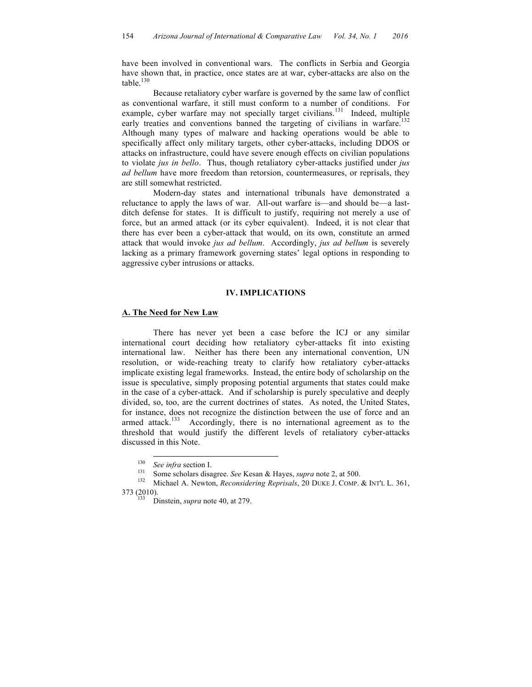have been involved in conventional wars. The conflicts in Serbia and Georgia have shown that, in practice, once states are at war, cyber-attacks are also on the table. $130$ 

Because retaliatory cyber warfare is governed by the same law of conflict as conventional warfare, it still must conform to a number of conditions. For example, cyber warfare may not specially target civilians.<sup>131</sup> Indeed, multiple early treaties and conventions banned the targeting of civilians in warfare.<sup>132</sup> Although many types of malware and hacking operations would be able to specifically affect only military targets, other cyber-attacks, including DDOS or attacks on infrastructure, could have severe enough effects on civilian populations to violate *jus in bello*. Thus, though retaliatory cyber-attacks justified under *jus ad bellum* have more freedom than retorsion, countermeasures, or reprisals, they are still somewhat restricted.

Modern-day states and international tribunals have demonstrated a reluctance to apply the laws of war. All-out warfare is—and should be—a lastditch defense for states. It is difficult to justify, requiring not merely a use of force, but an armed attack (or its cyber equivalent). Indeed, it is not clear that there has ever been a cyber-attack that would, on its own, constitute an armed attack that would invoke *jus ad bellum*. Accordingly, *jus ad bellum* is severely lacking as a primary framework governing states' legal options in responding to aggressive cyber intrusions or attacks.

#### **IV. IMPLICATIONS**

#### **A. The Need for New Law**

There has never yet been a case before the ICJ or any similar international court deciding how retaliatory cyber-attacks fit into existing international law. Neither has there been any international convention, UN resolution, or wide-reaching treaty to clarify how retaliatory cyber-attacks implicate existing legal frameworks. Instead, the entire body of scholarship on the issue is speculative, simply proposing potential arguments that states could make in the case of a cyber-attack. And if scholarship is purely speculative and deeply divided, so, too, are the current doctrines of states. As noted, the United States, for instance, does not recognize the distinction between the use of force and an armed attack.<sup>133</sup> Accordingly, there is no international agreement as to the threshold that would justify the different levels of retaliatory cyber-attacks discussed in this Note.

<sup>&</sup>lt;sup>130</sup> *See infra* section I.<br><sup>131</sup> Some scholars disagree. *See* Kesan & Hayes, *supra* note 2, at 500.<br><sup>132</sup> Michael A. Newton, *Reconsidering Reprisals*, 20 DUKE J. COMP. & INT'L L. 361, 373 (2010). 133 Dinstein, *supra* note 40, at 279.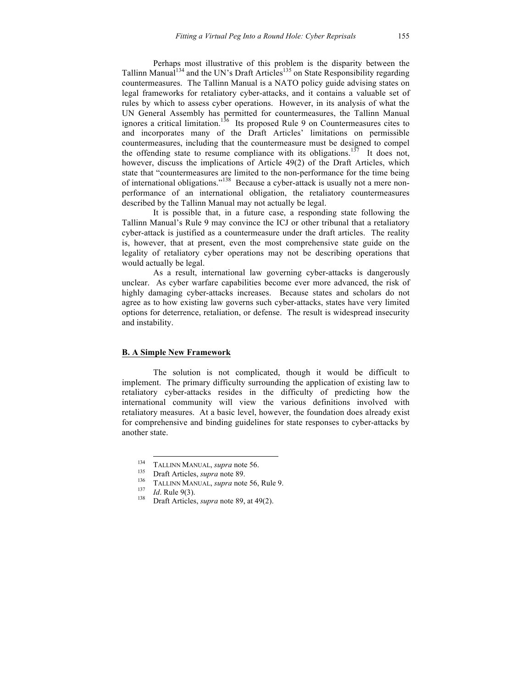Perhaps most illustrative of this problem is the disparity between the Tallinn Manual<sup>134</sup> and the UN's Draft Articles<sup>135</sup> on State Responsibility regarding countermeasures. The Tallinn Manual is a NATO policy guide advising states on legal frameworks for retaliatory cyber-attacks, and it contains a valuable set of rules by which to assess cyber operations. However, in its analysis of what the UN General Assembly has permitted for countermeasures, the Tallinn Manual ignores a critical limitation.<sup>136</sup> Its proposed Rule 9 on Countermeasures cites to and incorporates many of the Draft Articles' limitations on permissible countermeasures, including that the countermeasure must be designed to compel the offending state to resume compliance with its obligations.<sup>137</sup> It does not, however, discuss the implications of Article 49(2) of the Draft Articles, which state that "countermeasures are limited to the non-performance for the time being of international obligations."138 Because a cyber-attack is usually not a mere nonperformance of an international obligation, the retaliatory countermeasures described by the Tallinn Manual may not actually be legal.

It is possible that, in a future case, a responding state following the Tallinn Manual's Rule 9 may convince the ICJ or other tribunal that a retaliatory cyber-attack is justified as a countermeasure under the draft articles. The reality is, however, that at present, even the most comprehensive state guide on the legality of retaliatory cyber operations may not be describing operations that would actually be legal.

As a result, international law governing cyber-attacks is dangerously unclear. As cyber warfare capabilities become ever more advanced, the risk of highly damaging cyber-attacks increases. Because states and scholars do not agree as to how existing law governs such cyber-attacks, states have very limited options for deterrence, retaliation, or defense. The result is widespread insecurity and instability.

# **B. A Simple New Framework**

The solution is not complicated, though it would be difficult to implement. The primary difficulty surrounding the application of existing law to retaliatory cyber-attacks resides in the difficulty of predicting how the international community will view the various definitions involved with retaliatory measures. At a basic level, however, the foundation does already exist for comprehensive and binding guidelines for state responses to cyber-attacks by another state.

134 TALLINN MANUAL, *supra* note 56.<br>
135 Draft Articles, *supra* note 89.<br>
136 TALLINN MANUAL, *supra* note 56, Rule 9.<br>
137 *Id*. Rule 9(3).<br>
138 Draft Articles, *supra* note 89, at 49(2).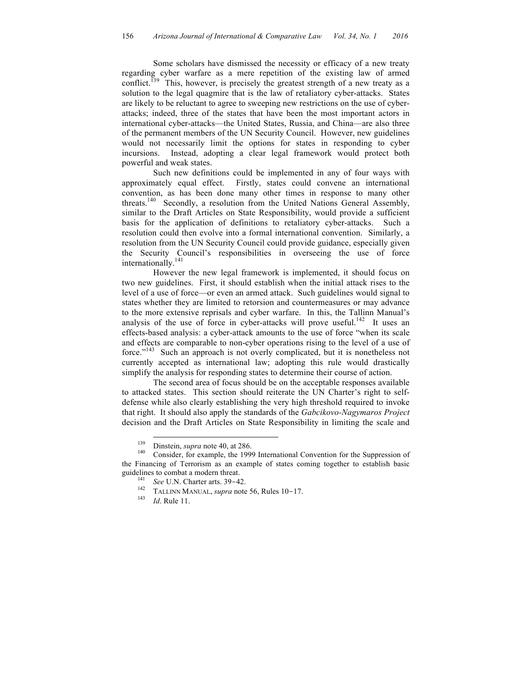Some scholars have dismissed the necessity or efficacy of a new treaty regarding cyber warfare as a mere repetition of the existing law of armed conflict.<sup>139</sup> This, however, is precisely the greatest strength of a new treaty as a solution to the legal quagmire that is the law of retaliatory cyber-attacks. States are likely to be reluctant to agree to sweeping new restrictions on the use of cyberattacks; indeed, three of the states that have been the most important actors in international cyber-attacks—the United States, Russia, and China—are also three of the permanent members of the UN Security Council. However, new guidelines would not necessarily limit the options for states in responding to cyber incursions. Instead, adopting a clear legal framework would protect both powerful and weak states.

Such new definitions could be implemented in any of four ways with approximately equal effect. Firstly, states could convene an international convention, as has been done many other times in response to many other threats.<sup>140</sup> Secondly, a resolution from the United Nations General Assembly, similar to the Draft Articles on State Responsibility, would provide a sufficient basis for the application of definitions to retaliatory cyber-attacks. Such a resolution could then evolve into a formal international convention. Similarly, a resolution from the UN Security Council could provide guidance, especially given the Security Council's responsibilities in overseeing the use of force internationally.<sup>141</sup>

However the new legal framework is implemented, it should focus on two new guidelines. First, it should establish when the initial attack rises to the level of a use of force—or even an armed attack. Such guidelines would signal to states whether they are limited to retorsion and countermeasures or may advance to the more extensive reprisals and cyber warfare. In this, the Tallinn Manual's analysis of the use of force in cyber-attacks will prove useful.<sup>142</sup> It uses an effects-based analysis: a cyber-attack amounts to the use of force "when its scale and effects are comparable to non-cyber operations rising to the level of a use of force."<sup>143</sup> Such an approach is not overly complicated, but it is nonetheless not currently accepted as international law; adopting this rule would drastically simplify the analysis for responding states to determine their course of action.

The second area of focus should be on the acceptable responses available to attacked states. This section should reiterate the UN Charter's right to selfdefense while also clearly establishing the very high threshold required to invoke that right. It should also apply the standards of the *Gabcikovo-Nagymaros Project* decision and the Draft Articles on State Responsibility in limiting the scale and

<sup>&</sup>lt;sup>139</sup> Dinstein, *supra* note 40, at 286.<br><sup>140</sup> Consider, for example, the 1999 International Convention for the Suppression of the Financing of Terrorism as an example of states coming together to establish basic guidelines to combat a modern threat.<br><sup>141</sup> *See* U.N. Charter arts. 39-42.<br><sup>142</sup> TALLINN MANUAL, *supra* note 56, Rules 10-17.<br><sup>143</sup> *Id*. Rule 11.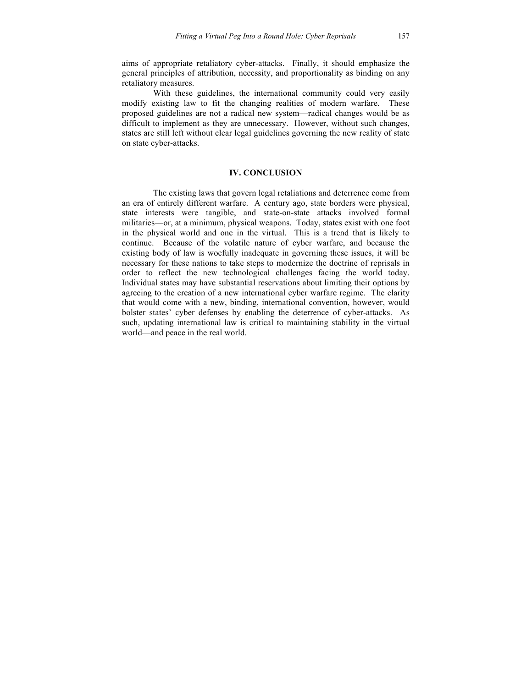aims of appropriate retaliatory cyber-attacks. Finally, it should emphasize the general principles of attribution, necessity, and proportionality as binding on any retaliatory measures.

With these guidelines, the international community could very easily modify existing law to fit the changing realities of modern warfare. These proposed guidelines are not a radical new system—radical changes would be as difficult to implement as they are unnecessary. However, without such changes, states are still left without clear legal guidelines governing the new reality of state on state cyber-attacks.

# **IV. CONCLUSION**

The existing laws that govern legal retaliations and deterrence come from an era of entirely different warfare. A century ago, state borders were physical, state interests were tangible, and state-on-state attacks involved formal militaries—or, at a minimum, physical weapons. Today, states exist with one foot in the physical world and one in the virtual. This is a trend that is likely to continue. Because of the volatile nature of cyber warfare, and because the existing body of law is woefully inadequate in governing these issues, it will be necessary for these nations to take steps to modernize the doctrine of reprisals in order to reflect the new technological challenges facing the world today. Individual states may have substantial reservations about limiting their options by agreeing to the creation of a new international cyber warfare regime. The clarity that would come with a new, binding, international convention, however, would bolster states' cyber defenses by enabling the deterrence of cyber-attacks. As such, updating international law is critical to maintaining stability in the virtual world—and peace in the real world.